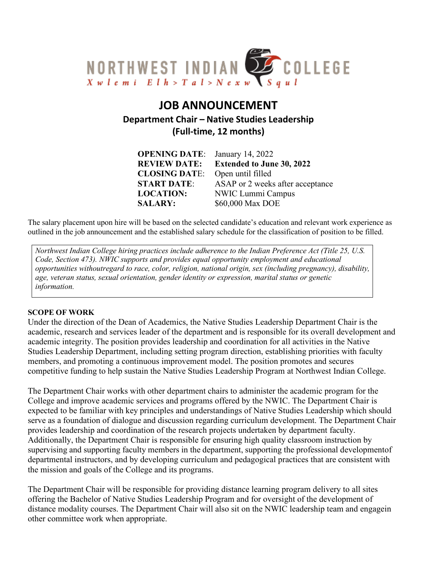

# **JOB ANNOUNCEMENT Department Chair – Native Studies Leadership (Full-time, 12 months)**

| <b>OPENING DATE:</b> | January 14, 2022                 |
|----------------------|----------------------------------|
| <b>REVIEW DATE:</b>  | <b>Extended to June 30, 2022</b> |
| <b>CLOSING DATE:</b> | Open until filled                |
| <b>START DATE:</b>   | ASAP or 2 weeks after acceptance |
| <b>LOCATION:</b>     | NWIC Lummi Campus                |
| <b>SALARY:</b>       | \$60,000 Max DOE                 |

The salary placement upon hire will be based on the selected candidate's education and relevant work experience as outlined in the job announcement and the established salary schedule for the classification of position to be filled.

*Northwest Indian College hiring practices include adherence to the Indian Preference Act (Title 25, U.S. Code, Section 473). NWIC supports and provides equal opportunity employment and educational opportunities withoutregard to race, color, religion, national origin, sex (including pregnancy), disability, age, veteran status, sexual orientation, gender identity or expression, marital status or genetic information.*

#### **SCOPE OF WORK**

Under the direction of the Dean of Academics, the Native Studies Leadership Department Chair is the academic, research and services leader of the department and is responsible for its overall development and academic integrity. The position provides leadership and coordination for all activities in the Native Studies Leadership Department, including setting program direction, establishing priorities with faculty members, and promoting a continuous improvement model. The position promotes and secures competitive funding to help sustain the Native Studies Leadership Program at Northwest Indian College.

The Department Chair works with other department chairs to administer the academic program for the College and improve academic services and programs offered by the NWIC. The Department Chair is expected to be familiar with key principles and understandings of Native Studies Leadership which should serve as a foundation of dialogue and discussion regarding curriculum development. The Department Chair provides leadership and coordination of the research projects undertaken by department faculty. Additionally, the Department Chair is responsible for ensuring high quality classroom instruction by supervising and supporting faculty members in the department, supporting the professional developmentof departmental instructors, and by developing curriculum and pedagogical practices that are consistent with the mission and goals of the College and its programs.

The Department Chair will be responsible for providing distance learning program delivery to all sites offering the Bachelor of Native Studies Leadership Program and for oversight of the development of distance modality courses. The Department Chair will also sit on the NWIC leadership team and engagein other committee work when appropriate.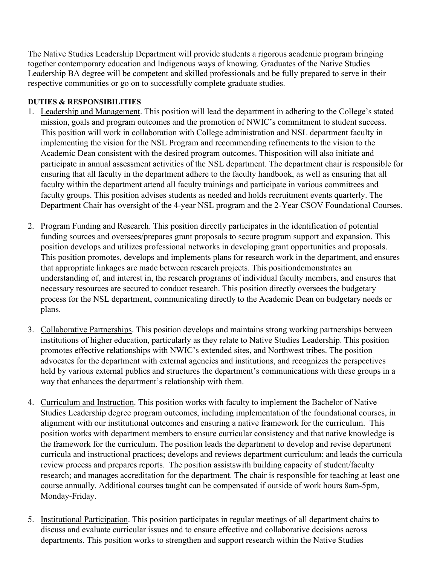The Native Studies Leadership Department will provide students a rigorous academic program bringing together contemporary education and Indigenous ways of knowing. Graduates of the Native Studies Leadership BA degree will be competent and skilled professionals and be fully prepared to serve in their respective communities or go on to successfully complete graduate studies.

# **DUTIES & RESPONSIBILITIES**

- 1. Leadership and Management. This position will lead the department in adhering to the College's stated mission, goals and program outcomes and the promotion of NWIC's commitment to student success. This position will work in collaboration with College administration and NSL department faculty in implementing the vision for the NSL Program and recommending refinements to the vision to the Academic Dean consistent with the desired program outcomes. Thisposition will also initiate and participate in annual assessment activities of the NSL department. The department chair is responsible for ensuring that all faculty in the department adhere to the faculty handbook, as well as ensuring that all faculty within the department attend all faculty trainings and participate in various committees and faculty groups. This position advises students as needed and holds recruitment events quarterly. The Department Chair has oversight of the 4-year NSL program and the 2-Year CSOV Foundational Courses.
- 2. Program Funding and Research. This position directly participates in the identification of potential funding sources and oversees/prepares grant proposals to secure program support and expansion. This position develops and utilizes professional networks in developing grant opportunities and proposals. This position promotes, develops and implements plans for research work in the department, and ensures that appropriate linkages are made between research projects. This positiondemonstrates an understanding of, and interest in, the research programs of individual faculty members, and ensures that necessary resources are secured to conduct research. This position directly oversees the budgetary process for the NSL department, communicating directly to the Academic Dean on budgetary needs or plans.
- 3. Collaborative Partnerships. This position develops and maintains strong working partnerships between institutions of higher education, particularly as they relate to Native Studies Leadership. This position promotes effective relationships with NWIC's extended sites, and Northwest tribes. The position advocates for the department with external agencies and institutions, and recognizes the perspectives held by various external publics and structures the department's communications with these groups in a way that enhances the department's relationship with them.
- 4. Curriculum and Instruction. This position works with faculty to implement the Bachelor of Native Studies Leadership degree program outcomes, including implementation of the foundational courses, in alignment with our institutional outcomes and ensuring a native framework for the curriculum. This position works with department members to ensure curricular consistency and that native knowledge is the framework for the curriculum. The position leads the department to develop and revise department curricula and instructional practices; develops and reviews department curriculum; and leads the curricula review process and prepares reports. The position assistswith building capacity of student/faculty research; and manages accreditation for the department. The chair is responsible for teaching at least one course annually. Additional courses taught can be compensated if outside of work hours 8am-5pm, Monday-Friday.
- 5. Institutional Participation. This position participates in regular meetings of all department chairs to discuss and evaluate curricular issues and to ensure effective and collaborative decisions across departments. This position works to strengthen and support research within the Native Studies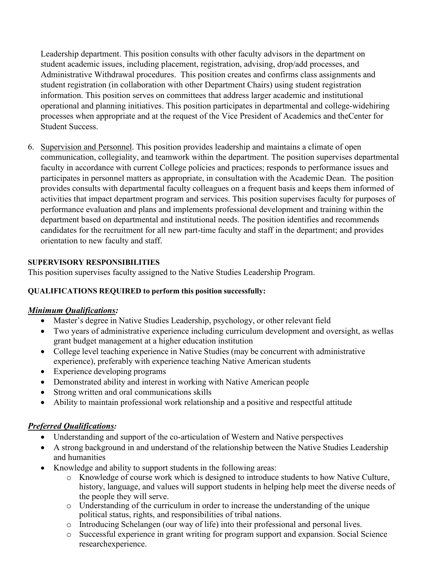Leadership department. This position consults with other faculty advisors in the department on student academic issues, including placement, registration, advising, drop/add processes, and Administrative Withdrawal procedures. This position creates and confirms class assignments and student registration (in collaboration with other Department Chairs) using student registration information. This position serves on committees that address larger academic and institutional operational and planning initiatives. This position participates in departmental and college-widehiring processes when appropriate and at the request of the Vice President of Academics and theCenter for Student Success.

6. Supervision and Personnel. This position provides leadership and maintains a climate of open communication, collegiality, and teamwork within the department. The position supervises departmental faculty in accordance with current College policies and practices; responds to performance issues and participates in personnel matters as appropriate, in consultation with the Academic Dean. The position provides consults with departmental faculty colleagues on a frequent basis and keeps them informed of activities that impact department program and services. This position supervises faculty for purposes of performance evaluation and plans and implements professional development and training within the department based on departmental and institutional needs. The position identifies and recommends candidates for the recruitment for all new part-time faculty and staff in the department; and provides orientation to new faculty and staff.

## **SUPERVISORY RESPONSIBILITIES**

This position supervises faculty assigned to the Native Studies Leadership Program.

#### **QUALIFICATIONS REQUIRED to perform this position successfully:**

#### *Minimum Qualifications:*

- Master's degree in Native Studies Leadership, psychology, or other relevant field
- Two years of administrative experience including curriculum development and oversight, as wellas grant budget management at a higher education institution
- College level teaching experience in Native Studies (may be concurrent with administrative experience), preferably with experience teaching Native American students
- Experience developing programs
- Demonstrated ability and interest in working with Native American people
- Strong written and oral communications skills
- Ability to maintain professional work relationship and a positive and respectful attitude

# *Preferred Qualifications:*

- Understanding and support of the co-articulation of Western and Native perspectives
- A strong background in and understand of the relationship between the Native Studies Leadership and humanities
- Knowledge and ability to support students in the following areas:
	- o Knowledge of course work which is designed to introduce students to how Native Culture, history, language, and values will support students in helping help meet the diverse needs of the people they will serve.
	- o Understanding of the curriculum in order to increase the understanding of the unique political status, rights, and responsibilities of tribal nations.
	- o Introducing Schelangen (our way of life) into their professional and personal lives.
	- o Successful experience in grant writing for program support and expansion. Social Science researchexperience.